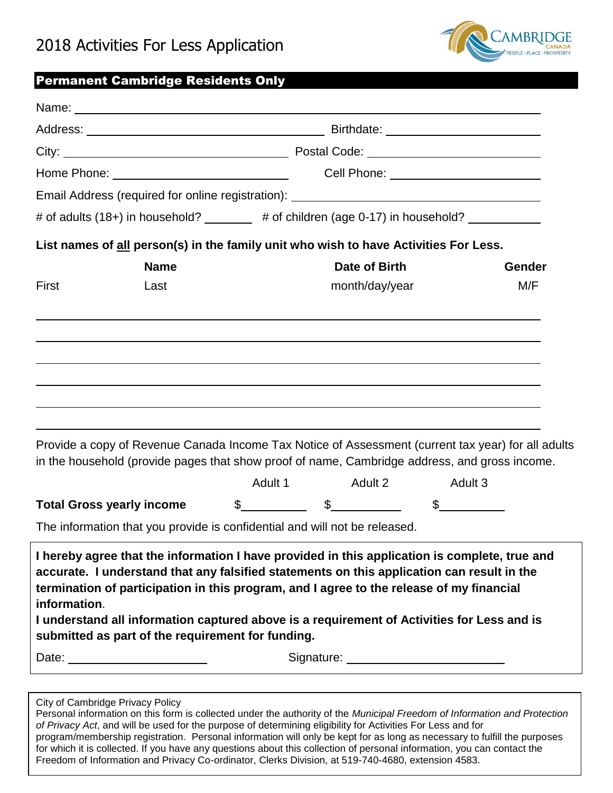

### Permanent Cambridge Residents Only

|                                                                                                       | Email Address (required for online registration): ______________________________                                                                                                                                                                                                                                                                                                      |                                                                                          |              |  |
|-------------------------------------------------------------------------------------------------------|---------------------------------------------------------------------------------------------------------------------------------------------------------------------------------------------------------------------------------------------------------------------------------------------------------------------------------------------------------------------------------------|------------------------------------------------------------------------------------------|--------------|--|
|                                                                                                       |                                                                                                                                                                                                                                                                                                                                                                                       | # of adults (18+) in household? _______ # of children (age 0-17) in household? _________ |              |  |
|                                                                                                       | List names of all person(s) in the family unit who wish to have Activities For Less.                                                                                                                                                                                                                                                                                                  |                                                                                          |              |  |
| <b>Name</b>                                                                                           |                                                                                                                                                                                                                                                                                                                                                                                       | Date of Birth                                                                            | Gender       |  |
| First<br>Last                                                                                         |                                                                                                                                                                                                                                                                                                                                                                                       | month/day/year                                                                           | M/F          |  |
|                                                                                                       |                                                                                                                                                                                                                                                                                                                                                                                       |                                                                                          |              |  |
|                                                                                                       | Provide a copy of Revenue Canada Income Tax Notice of Assessment (current tax year) for all adults                                                                                                                                                                                                                                                                                    |                                                                                          |              |  |
|                                                                                                       | in the household (provide pages that show proof of name, Cambridge address, and gross income.                                                                                                                                                                                                                                                                                         |                                                                                          |              |  |
|                                                                                                       | Adult 1<br>Adult 2                                                                                                                                                                                                                                                                                                                                                                    |                                                                                          | Adult 3      |  |
|                                                                                                       | $\frac{1}{2}$ $\frac{1}{2}$ $\frac{1}{2}$ $\frac{1}{2}$ $\frac{1}{2}$ $\frac{1}{2}$ $\frac{1}{2}$ $\frac{1}{2}$ $\frac{1}{2}$ $\frac{1}{2}$ $\frac{1}{2}$ $\frac{1}{2}$ $\frac{1}{2}$ $\frac{1}{2}$ $\frac{1}{2}$ $\frac{1}{2}$ $\frac{1}{2}$ $\frac{1}{2}$ $\frac{1}{2}$ $\frac{1}{2}$ $\frac{1}{2}$ $\frac{1}{2}$                                                                   |                                                                                          | $\mathbb{S}$ |  |
|                                                                                                       | The information that you provide is confidential and will not be released.                                                                                                                                                                                                                                                                                                            |                                                                                          |              |  |
| <b>Total Gross yearly income</b><br>information.<br>submitted as part of the requirement for funding. | I hereby agree that the information I have provided in this application is complete, true and<br>accurate. I understand that any falsified statements on this application can result in the<br>termination of participation in this program, and I agree to the release of my financial<br>I understand all information captured above is a requirement of Activities for Less and is |                                                                                          |              |  |

Personal information on this form is collected under the authority of the *Municipal Freedom of Information and Protection of Privacy Act*, and will be used for the purpose of determining eligibility for Activities For Less and for program/membership registration. Personal information will only be kept for as long as necessary to fulfill the purposes for which it is collected. If you have any questions about this collection of personal information, you can contact the Freedom of Information and Privacy Co-ordinator, Clerks Division, at 519-740-4680, extension 4583.